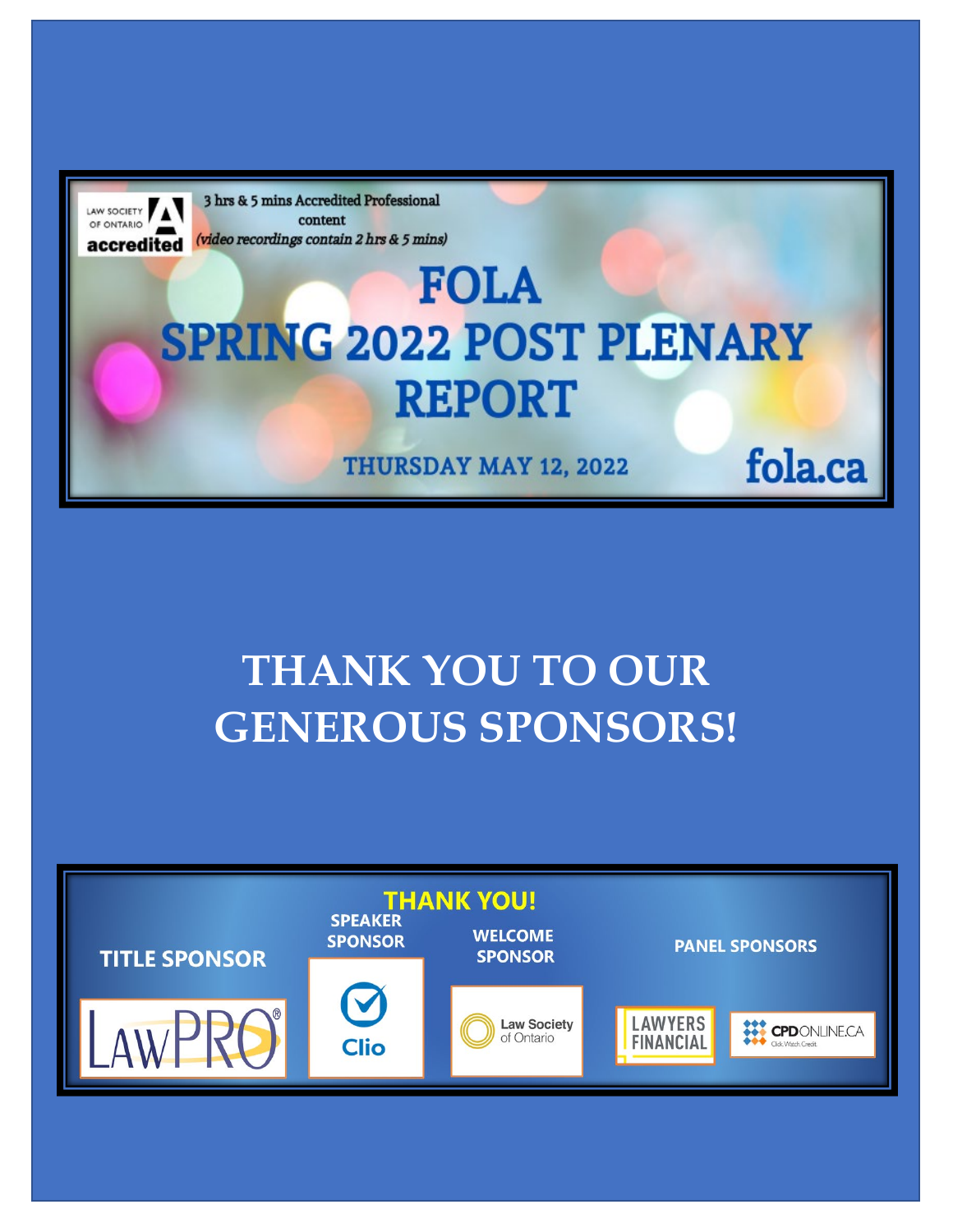

## **THANK YOU TO OUR GENEROUS SPONSORS!**

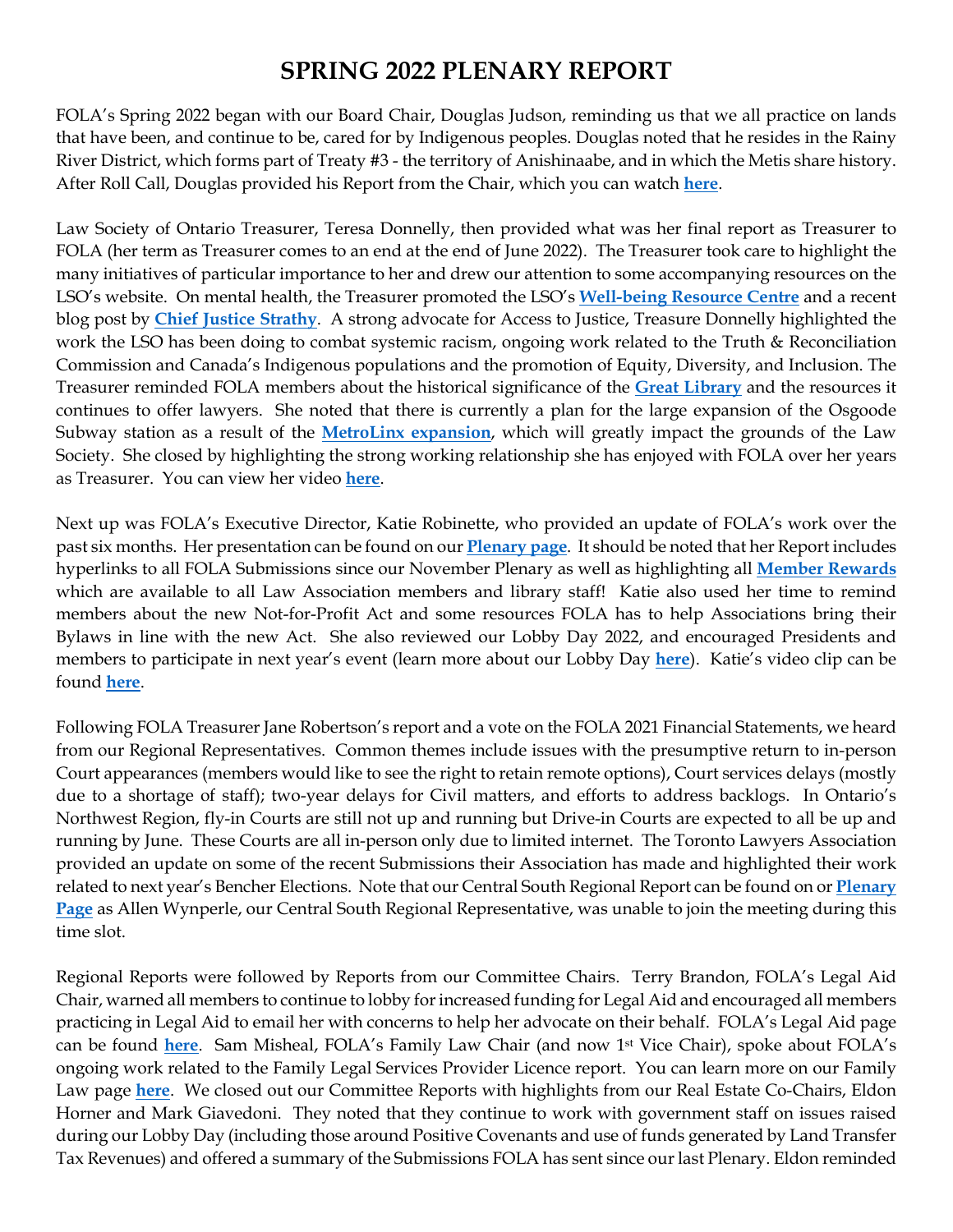## **SPRING 2022 PLENARY REPORT**

FOLA's Spring 2022 began with our Board Chair, Douglas Judson, reminding us that we all practice on lands that have been, and continue to be, cared for by Indigenous peoples. Douglas noted that he resides in the Rainy River District, which forms part of Treaty #3 - the territory of Anishinaabe, and in which the Metis share history. After Roll Call, Douglas provided his Report from the Chair, which you can watch **[here](https://youtu.be/2VJU8t58IfI)**.

Law Society of Ontario Treasurer, Teresa Donnelly, then provided what was her final report as Treasurer to FOLA (her term as Treasurer comes to an end at the end of June 2022). The Treasurer took care to highlight the many initiatives of particular importance to her and drew our attention to some accompanying resources on the LSO's website. On mental health, the Treasurer promoted the LSO's **[Well-being Resource Centre](https://lso.ca/lawyers/well-being-resource-centre)** and a recent blog post by **Chief [Justice Strathy](https://lso.ca/gazette/blog/thelitigatorandmentalhealth)**. A strong advocate for Access to Justice, Treasure Donnelly highlighted the work the LSO has been doing to combat systemic racism, ongoing work related to the Truth & Reconciliation Commission and Canada's Indigenous populations and the promotion of Equity, Diversity, and Inclusion. The Treasurer reminded FOLA members about the historical significance of the **[Great Library](https://lso.ca/great-library)** and the resources it continues to offer lawyers. She noted that there is currently a plan for the large expansion of the Osgoode Subway station as a result of the **[MetroLinx expansion](https://legalmatterscanada.ca/osgoode-hall-subway-station-project-a-cause-for-concern/)**, which will greatly impact the grounds of the Law Society. She closed by highlighting the strong working relationship she has enjoyed with FOLA over her years as Treasurer. You can view her video **[here](https://youtu.be/-xBzxC7J0vg)**.

Next up was FOLA's Executive Director, Katie Robinette, who provided an update of FOLA's work over the past six months. Her presentation can be found on our **[Plenary page](https://fola.ca/fola-plenary-may-2022)**. It should be noted that her Report includes hyperlinks to all FOLA Submissions since our November Plenary as well as highlighting all **[Member Rewards](https://fola.ca/member-rewards)** which are available to all Law Association members and library staff! Katie also used her time to remind members about the new Not-for-Profit Act and some resources FOLA has to help Associations bring their Bylaws in line with the new Act. She also reviewed our Lobby Day 2022, and encouraged Presidents and members to participate in next year's event (learn more about our Lobby Day **[here](https://fola.ca/lobby-day)**). Katie's video clip can be found **[here](https://youtu.be/zQ_Luv-Z74E)**.

Following FOLA Treasurer Jane Robertson's report and a vote on the FOLA 2021 Financial Statements, we heard from our Regional Representatives. Common themes include issues with the presumptive return to in-person Court appearances (members would like to see the right to retain remote options), Court services delays (mostly due to a shortage of staff); two-year delays for Civil matters, and efforts to address backlogs. In Ontario's Northwest Region, fly-in Courts are still not up and running but Drive-in Courts are expected to all be up and running by June. These Courts are all in-person only due to limited internet. The Toronto Lawyers Association provided an update on some of the recent Submissions their Association has made and highlighted their work related to next year's Bencher Elections. Note that our Central South Regional Report can be found on or **[Plenary](https://fola.ca/fola-plenary-may-2022)  [Page](https://fola.ca/fola-plenary-may-2022)** as Allen Wynperle, our Central South Regional Representative, was unable to join the meeting during this time slot.

Regional Reports were followed by Reports from our Committee Chairs. Terry Brandon, FOLA's Legal Aid Chair, warned all members to continue to lobby for increased funding for Legal Aid and encouraged all members practicing in Legal Aid to email her with concerns to help her advocate on their behalf. FOLA's Legal Aid page can be found **[here](https://fola.ca/legal-aid)**. Sam Misheal, FOLA's Family Law Chair (and now 1st Vice Chair), spoke about FOLA's ongoing work related to the Family Legal Services Provider Licence report. You can learn more on our Family Law page **[here](https://fola.ca/family-law-reforms)**. We closed out our Committee Reports with highlights from our Real Estate Co-Chairs, Eldon Horner and Mark Giavedoni. They noted that they continue to work with government staff on issues raised during our Lobby Day (including those around Positive Covenants and use of funds generated by Land Transfer Tax Revenues) and offered a summary of the Submissions FOLA has sent since our last Plenary. Eldon reminded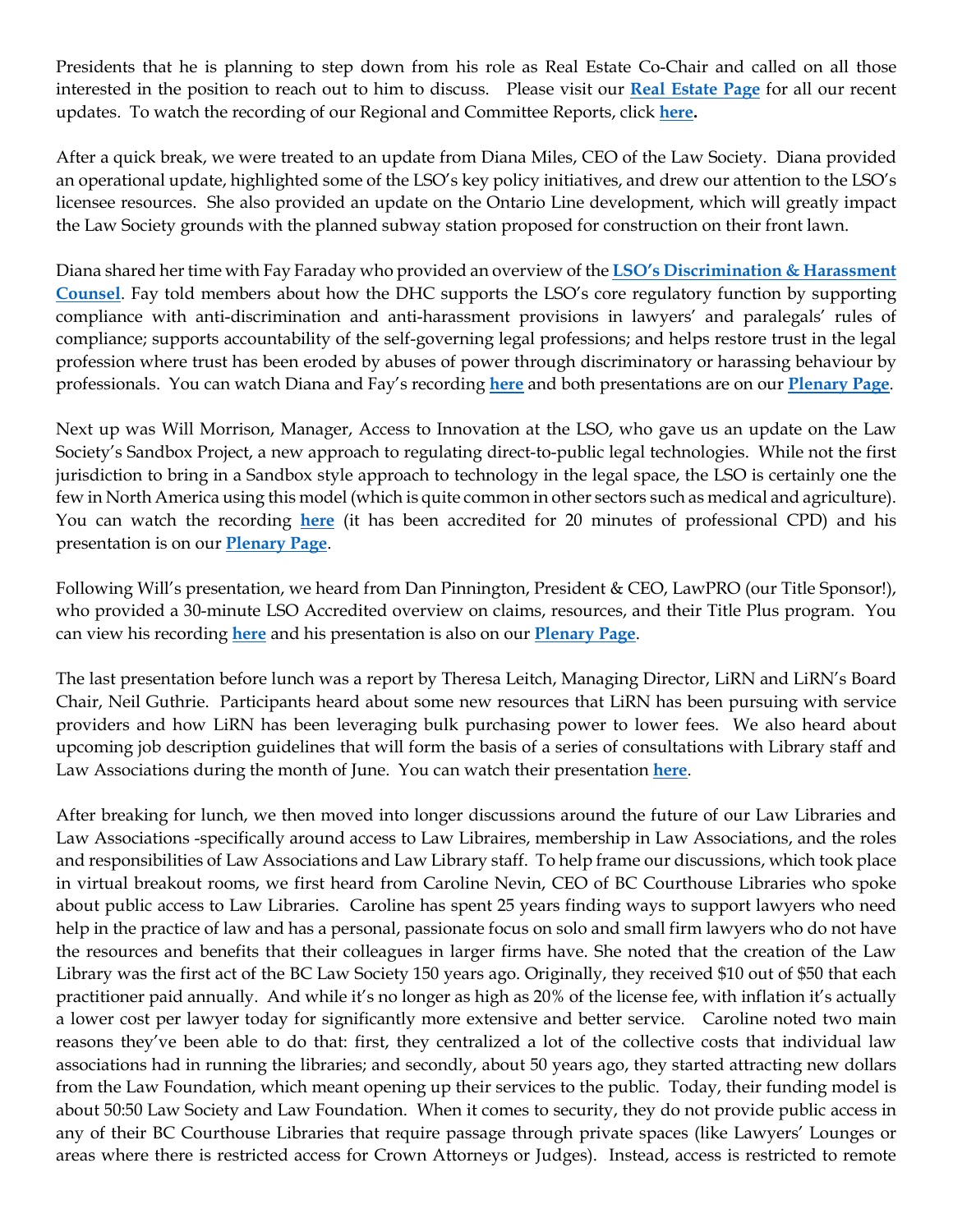Presidents that he is planning to step down from his role as Real Estate Co-Chair and called on all those interested in the position to reach out to him to discuss. Please visit our **[Real Estate Page](https://fola.ca/real-estate-law)** for all our recent updates. To watch the recording of our Regional and Committee Reports, click **[here.](https://youtu.be/0Id3nFWOExM)**

After a quick break, we were treated to an update from Diana Miles, CEO of the Law Society. Diana provided an operational update, highlighted some of the LSO's key policy initiatives, and drew our attention to the LSO's licensee resources. She also provided an update on the Ontario Line development, which will greatly impact the Law Society grounds with the planned subway station proposed for construction on their front lawn.

Diana shared her time with Fay Faraday who provided an overview of the **[LSO's Discrimination & Harassment](http://www.dhcounsel.on.ca/)  [Counsel](http://www.dhcounsel.on.ca/)**. Fay told members about how the DHC supports the LSO's core regulatory function by supporting compliance with anti-discrimination and anti-harassment provisions in lawyers' and paralegals' rules of compliance; supports accountability of the self-governing legal professions; and helps restore trust in the legal profession where trust has been eroded by abuses of power through discriminatory or harassing behaviour by professionals. You can watch Diana and Fay's recording **[here](https://youtu.be/-S6nWlF9iL0)** and both presentations are on our **[Plenary Page](https://fola.ca/fola-plenary-may-2022)**.

Next up was Will Morrison, Manager, Access to Innovation at the LSO, who gave us an update on the Law Society's Sandbox Project, a new approach to regulating direct-to-public legal technologies. While not the first jurisdiction to bring in a Sandbox style approach to technology in the legal space, the LSO is certainly one the few in North America using this model (which is quite common in other sectors such as medical and agriculture). You can watch the recording **[here](https://youtu.be/K_8Bj61aaYg)** (it has been accredited for 20 minutes of professional CPD) and his presentation is on our **[Plenary Page](https://fola.ca/fola-plenary-may-2022)**.

Following Will's presentation, we heard from Dan Pinnington, President & CEO, LawPRO (our Title Sponsor!), who provided a 30-minute LSO Accredited overview on claims, resources, and their Title Plus program. You can view his recording **[here](https://youtu.be/WpTBdvOYBz8)** and his presentation is also on our **[Plenary Page](https://fola.ca/fola-plenary-may-2022)**.

The last presentation before lunch was a report by Theresa Leitch, Managing Director, LiRN and LiRN's Board Chair, Neil Guthrie. Participants heard about some new resources that LiRN has been pursuing with service providers and how LiRN has been leveraging bulk purchasing power to lower fees. We also heard about upcoming job description guidelines that will form the basis of a series of consultations with Library staff and Law Associations during the month of June. You can watch their presentation **[here](https://youtu.be/IBR6ROcFueM)**.

After breaking for lunch, we then moved into longer discussions around the future of our Law Libraries and Law Associations -specifically around access to Law Libraires, membership in Law Associations, and the roles and responsibilities of Law Associations and Law Library staff. To help frame our discussions, which took place in virtual breakout rooms, we first heard from Caroline Nevin, CEO of BC Courthouse Libraries who spoke about public access to Law Libraries. Caroline has spent 25 years finding ways to support lawyers who need help in the practice of law and has a personal, passionate focus on solo and small firm lawyers who do not have the resources and benefits that their colleagues in larger firms have. She noted that the creation of the Law Library was the first act of the BC Law Society 150 years ago. Originally, they received \$10 out of \$50 that each practitioner paid annually. And while it's no longer as high as 20% of the license fee, with inflation it's actually a lower cost per lawyer today for significantly more extensive and better service. Caroline noted two main reasons they've been able to do that: first, they centralized a lot of the collective costs that individual law associations had in running the libraries; and secondly, about 50 years ago, they started attracting new dollars from the Law Foundation, which meant opening up their services to the public. Today, their funding model is about 50:50 Law Society and Law Foundation. When it comes to security, they do not provide public access in any of their BC Courthouse Libraries that require passage through private spaces (like Lawyers' Lounges or areas where there is restricted access for Crown Attorneys or Judges). Instead, access is restricted to remote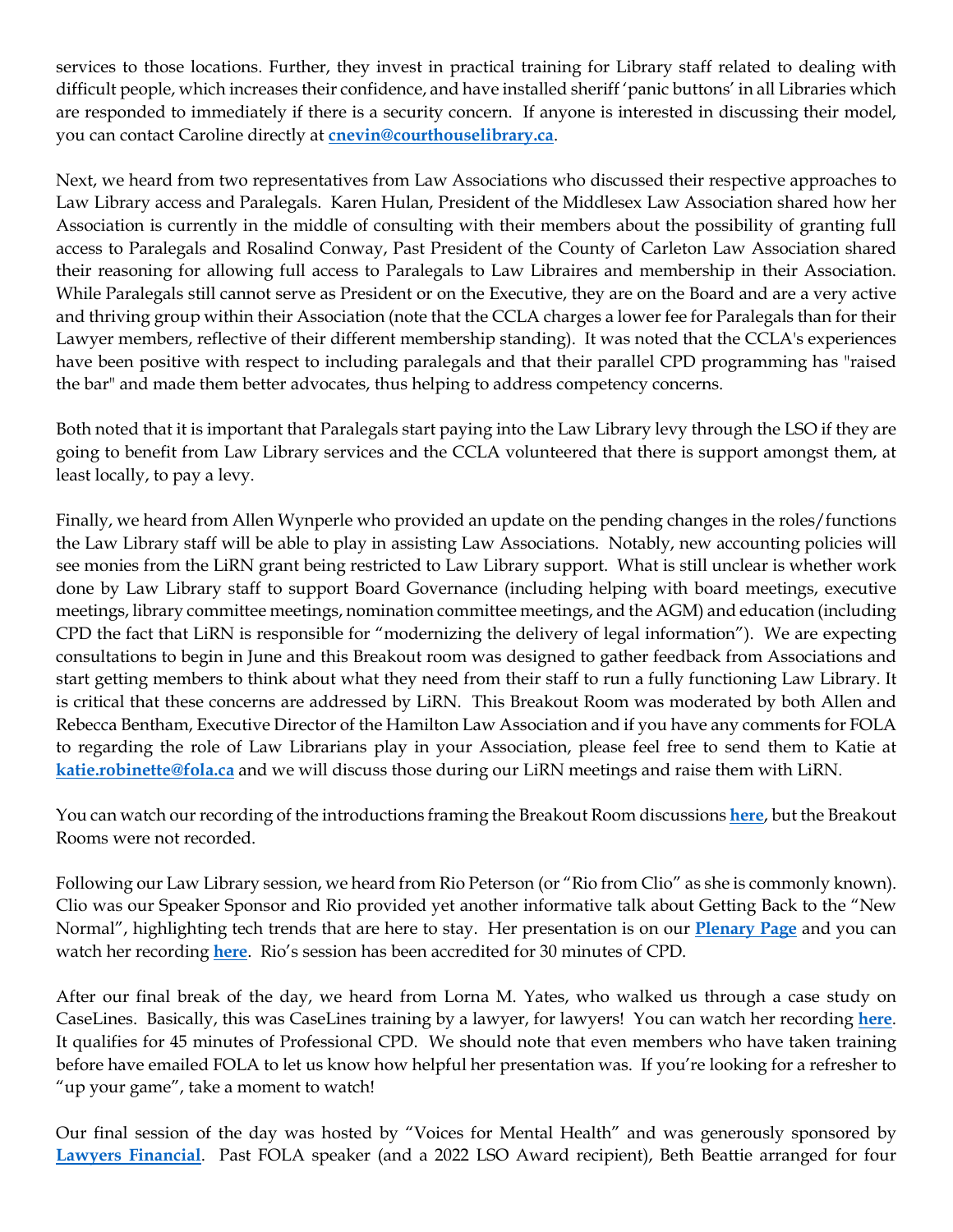services to those locations. Further, they invest in practical training for Library staff related to dealing with difficult people, which increases their confidence, and have installed sheriff 'panic buttons' in all Libraries which are responded to immediately if there is a security concern. If anyone is interested in discussing their model, you can contact Caroline directly at **[cnevin@courthouselibrary.ca](mailto:cnevin@courthouselibrary.ca)**.

Next, we heard from two representatives from Law Associations who discussed their respective approaches to Law Library access and Paralegals. Karen Hulan, President of the Middlesex Law Association shared how her Association is currently in the middle of consulting with their members about the possibility of granting full access to Paralegals and Rosalind Conway, Past President of the County of Carleton Law Association shared their reasoning for allowing full access to Paralegals to Law Libraires and membership in their Association. While Paralegals still cannot serve as President or on the Executive, they are on the Board and are a very active and thriving group within their Association (note that the CCLA charges a lower fee for Paralegals than for their Lawyer members, reflective of their different membership standing). It was noted that the CCLA's experiences have been positive with respect to including paralegals and that their parallel CPD programming has "raised the bar" and made them better advocates, thus helping to address competency concerns.

Both noted that it is important that Paralegals start paying into the Law Library levy through the LSO if they are going to benefit from Law Library services and the CCLA volunteered that there is support amongst them, at least locally, to pay a levy.

Finally, we heard from Allen Wynperle who provided an update on the pending changes in the roles/functions the Law Library staff will be able to play in assisting Law Associations. Notably, new accounting policies will see monies from the LiRN grant being restricted to Law Library support. What is still unclear is whether work done by Law Library staff to support Board Governance (including helping with board meetings, executive meetings, library committee meetings, nomination committee meetings, and the AGM) and education (including CPD the fact that LiRN is responsible for "modernizing the delivery of legal information"). We are expecting consultations to begin in June and this Breakout room was designed to gather feedback from Associations and start getting members to think about what they need from their staff to run a fully functioning Law Library. It is critical that these concerns are addressed by LiRN. This Breakout Room was moderated by both Allen and Rebecca Bentham, Executive Director of the Hamilton Law Association and if you have any comments for FOLA to regarding the role of Law Librarians play in your Association, please feel free to send them to Katie at **[katie.robinette@fola.ca](mailto:katie.robinette@fola.ca)** and we will discuss those during our LiRN meetings and raise them with LiRN.

You can watch our recording of the introductions framing the Breakout Room discussions **[here](https://youtu.be/0SnVJZT1olo)**, but the Breakout Rooms were not recorded.

Following our Law Library session, we heard from Rio Peterson (or "Rio from Clio" as she is commonly known). Clio was our Speaker Sponsor and Rio provided yet another informative talk about Getting Back to the "New Normal", highlighting tech trends that are here to stay. Her presentation is on our **[Plenary Page](https://fola.ca/fola-plenary-may-2022)** and you can watch her recording **[here](https://youtu.be/cc823FEvbLE)**. Rio's session has been accredited for 30 minutes of CPD.

After our final break of the day, we heard from Lorna M. Yates, who walked us through a case study on CaseLines. Basically, this was CaseLines training by a lawyer, for lawyers! You can watch her recording **[here](https://youtu.be/2tFKT3hQIOo)**. It qualifies for 45 minutes of Professional CPD. We should note that even members who have taken training before have emailed FOLA to let us know how helpful her presentation was. If you're looking for a refresher to "up your game", take a moment to watch!

Our final session of the day was hosted by "Voices for Mental Health" and was generously sponsored by **[Lawyers Financial](https://fola.ca/fola-plenary-may-2022#76b664f1-4d4b-403d-8408-929325278776)**. Past FOLA speaker (and a 2022 LSO Award recipient), Beth Beattie arranged for four